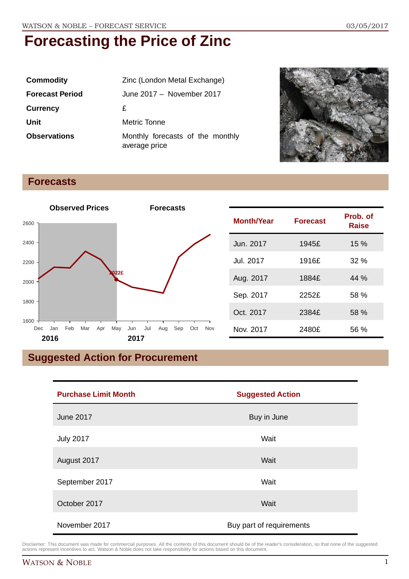| <b>Commodity</b>       | Zinc (London Metal Exchange)                      |
|------------------------|---------------------------------------------------|
| <b>Forecast Period</b> | June 2017 - November 2017                         |
| <b>Currency</b>        | £                                                 |
| Unit                   | Metric Tonne                                      |
| <b>Observations</b>    | Monthly forecasts of the monthly<br>average price |



#### **Forecasts**



### **Suggested Action for Procurement**

| <b>Purchase Limit Month</b> | <b>Suggested Action</b>  |
|-----------------------------|--------------------------|
| <b>June 2017</b>            | Buy in June              |
| <b>July 2017</b>            | Wait                     |
| August 2017                 | Wait                     |
| September 2017              | Wait                     |
| October 2017                | Wait                     |
| November 2017               | Buy part of requirements |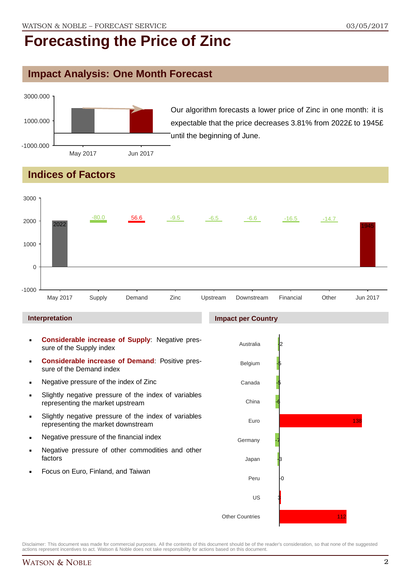#### **Impact Analysis: One Month Forecast**



Our algorithm forecasts a lower price of Zinc in one month: it is expectable that the price decreases 3.81% from 2022£ to 1945£ until the beginning of June.

### **Indices of Factors**

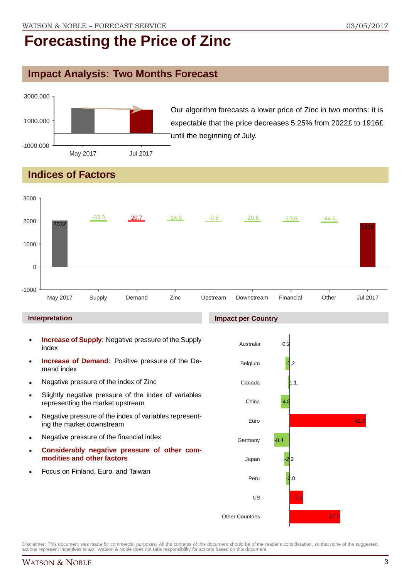### **Impact Analysis: Two Months Forecast**



Our algorithm forecasts a lower price of Zinc in two months: it is expectable that the price decreases 5.25% from 2022£ to 1916£ until the beginning of July.

### **Indices of Factors**



- **Increase of Demand**: Positive pressure of the Demand index
- **Negative pressure of the index of Zinc**
- Slightly negative pressure of the index of variables representing the market upstream
- Negative pressure of the index of variables representing the market downstream
- **Negative pressure of the financial index**
- **Considerably negative pressure of other commodities and other factors**
- Focus on Finland, Euro, and Taiwan

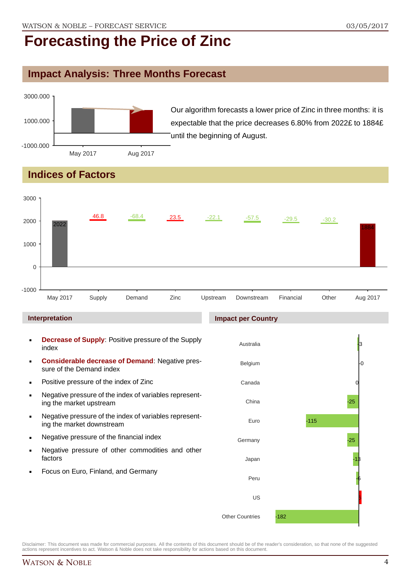#### **Impact Analysis: Three Months Forecast**



Our algorithm forecasts a lower price of Zinc in three months: it is expectable that the price decreases 6.80% from 2022£ to 1884£ until the beginning of August.

### **Indices of Factors**



Other Countries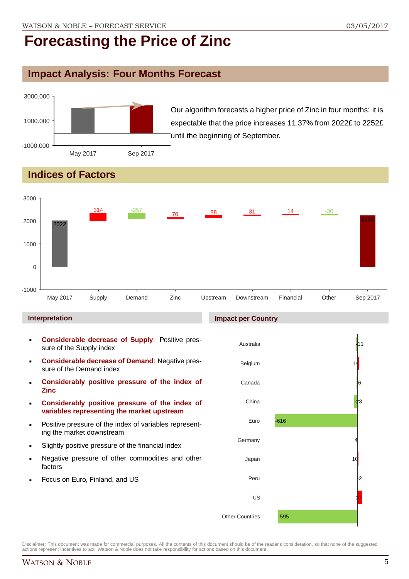### **Impact Analysis: Four Months Forecast**



Our algorithm forecasts a higher price of Zinc in four months: it is expectable that the price increases 11.37% from 2022£ to 2252£ until the beginning of September.

## **Indices of Factors**



#### **Interpretation**

- **Considerable decrease of Supply**: Positive pressure of the Supply index
- **Considerable decrease of Demand**: Negative pressure of the Demand index
- **Considerably positive pressure of the index of Zinc**
- **Considerably positive pressure of the index of variables representing the market upstream**
- Positive pressure of the index of variables representing the market downstream
- Slightly positive pressure of the financial index
- Negative pressure of other commodities and other factors
- Focus on Euro, Finland, and US

#### **Impact per Country**

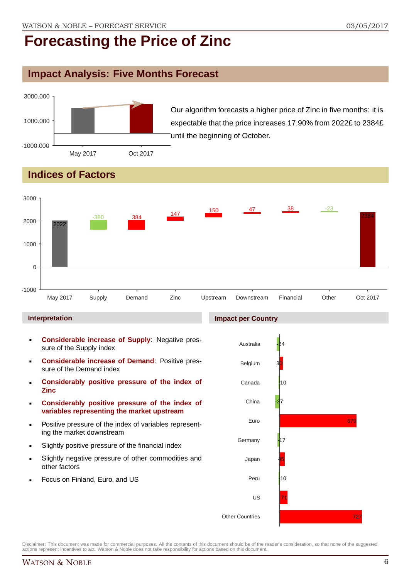### **Impact Analysis: Five Months Forecast**



Our algorithm forecasts a higher price of Zinc in five months: it is expectable that the price increases 17.90% from 2022£ to 2384£ until the beginning of October.

## **Indices of Factors**



#### **Interpretation**

- **Considerable increase of Supply**: Negative pressure of the Supply index
- **Considerable increase of Demand**: Positive pressure of the Demand index
- **Considerably positive pressure of the index of Zinc**
- **Considerably positive pressure of the index of variables representing the market upstream**
- Positive pressure of the index of variables representing the market downstream
- Slightly positive pressure of the financial index
- Slightly negative pressure of other commodities and other factors
- Focus on Finland, Euro, and US



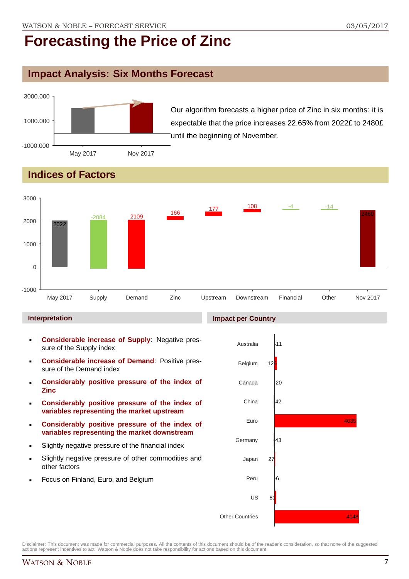### **Impact Analysis: Six Months Forecast**



Our algorithm forecasts a higher price of Zinc in six months: it is expectable that the price increases 22.65% from 2022£ to 2480£ until the beginning of November.

## **Indices of Factors**



#### **Interpretation**

- **Considerable increase of Supply: Negative pres**sure of the Supply index
- **Considerable increase of Demand**: Positive pressure of the Demand index
- **Considerably positive pressure of the index of Zinc**
- **Considerably positive pressure of the index of variables representing the market upstream**
- **Considerably positive pressure of the index of variables representing the market downstream**
- Slightly negative pressure of the financial index
- Slightly negative pressure of other commodities and other factors
- Focus on Finland, Euro, and Belgium

### **Impact per Country**

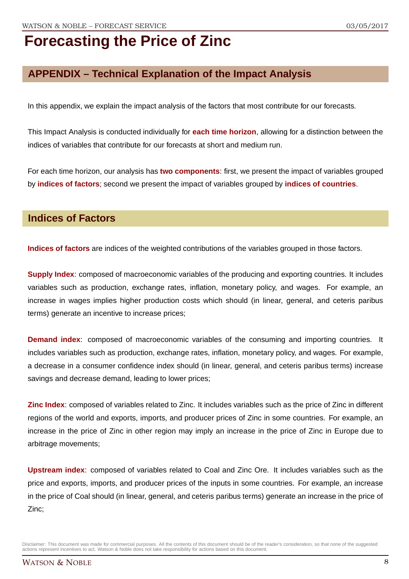### **APPENDIX – Technical Explanation of the Impact Analysis**

In this appendix, we explain the impact analysis of the factors that most contribute for our forecasts.

This Impact Analysis is conducted individually for **each time horizon**, allowing for a distinction between the indices of variables that contribute for our forecasts at short and medium run.

For each time horizon, our analysis has **two components**: first, we present the impact of variables grouped by **indices of factors**; second we present the impact of variables grouped by **indices of countries**.

#### **Indices of Factors**

**Indices of factors** are indices of the weighted contributions of the variables grouped in those factors.

**Supply Index**: composed of macroeconomic variables of the producing and exporting countries. It includes variables such as production, exchange rates, inflation, monetary policy, and wages. For example, an increase in wages implies higher production costs which should (in linear, general, and ceteris paribus terms) generate an incentive to increase prices;

**Demand index**: composed of macroeconomic variables of the consuming and importing countries. It includes variables such as production, exchange rates, inflation, monetary policy, and wages. For example, a decrease in a consumer confidence index should (in linear, general, and ceteris paribus terms) increase savings and decrease demand, leading to lower prices;

**Zinc Index**: composed of variables related to Zinc. It includes variables such as the price of Zinc in different regions of the world and exports, imports, and producer prices of Zinc in some countries. For example, an increase in the price of Zinc in other region may imply an increase in the price of Zinc in Europe due to arbitrage movements;

**Upstream index**: composed of variables related to Coal and Zinc Ore. It includes variables such as the price and exports, imports, and producer prices of the inputs in some countries. For example, an increase in the price of Coal should (in linear, general, and ceteris paribus terms) generate an increase in the price of Zinc;